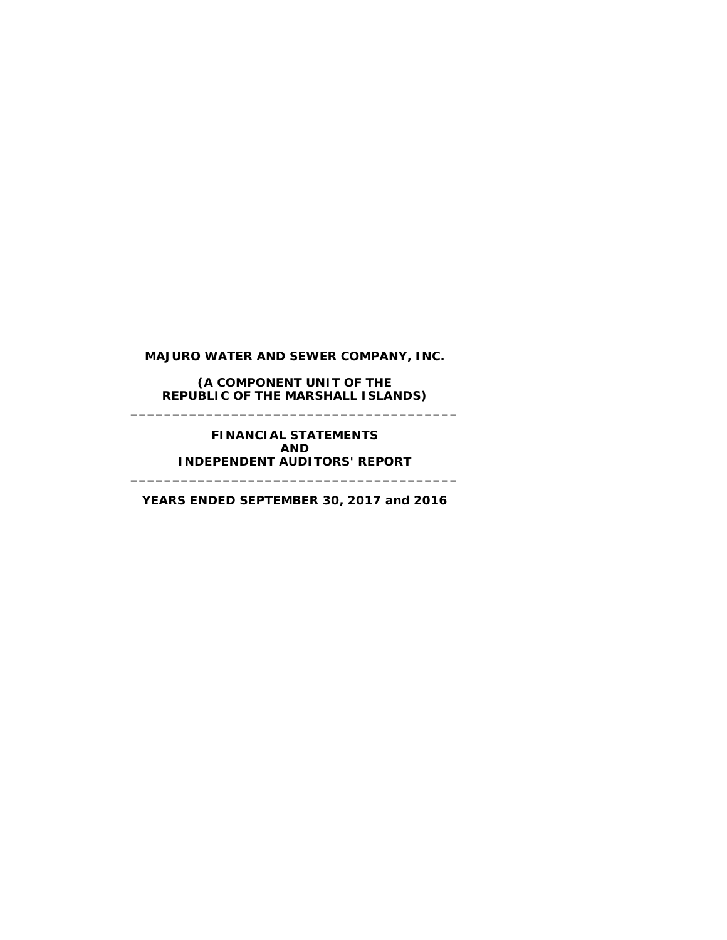**MAJURO WATER AND SEWER COMPANY, INC.**

**(A COMPONENT UNIT OF THE REPUBLIC OF THE MARSHALL ISLANDS) \_\_\_\_\_\_\_\_\_\_\_\_\_\_\_\_\_\_\_\_\_\_\_\_\_\_\_\_\_\_\_\_\_\_\_\_\_\_\_**

> **FINANCIAL STATEMENTS AND INDEPENDENT AUDITORS' REPORT**

**YEARS ENDED SEPTEMBER 30, 2017 and 2016**

**\_\_\_\_\_\_\_\_\_\_\_\_\_\_\_\_\_\_\_\_\_\_\_\_\_\_\_\_\_\_\_\_\_\_\_\_\_\_\_**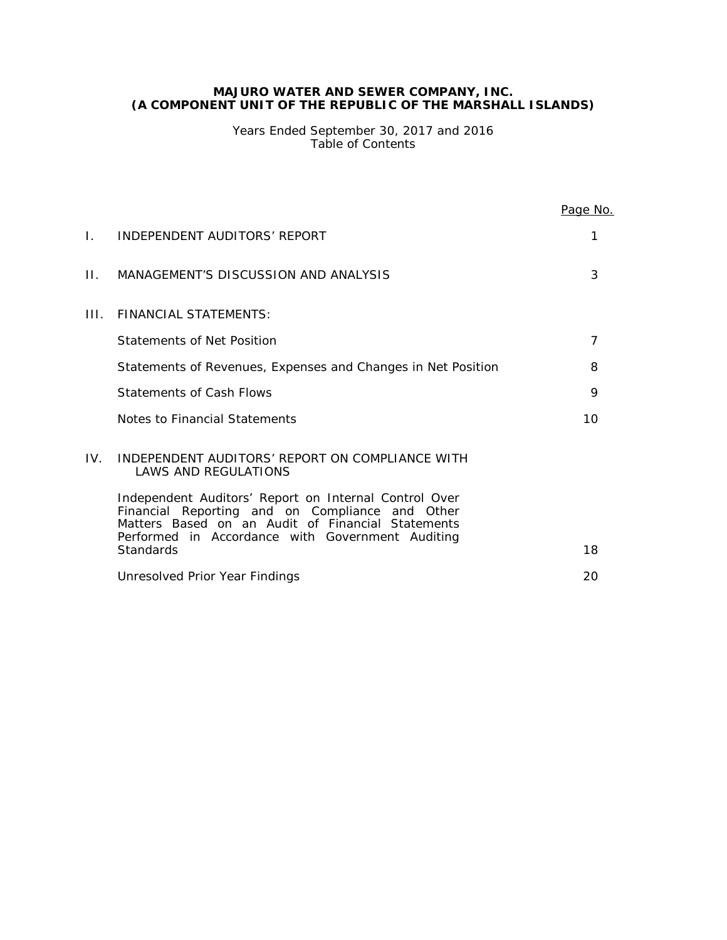Years Ended September 30, 2017 and 2016 Table of Contents

|     |                                                                                                                                                               | Page No. |
|-----|---------------------------------------------------------------------------------------------------------------------------------------------------------------|----------|
| L.  | INDEPENDENT AUDITORS' REPORT                                                                                                                                  | 1        |
| П.  | MANAGEMENT'S DISCUSSION AND ANALYSIS                                                                                                                          | 3        |
| HL. | <b>FINANCIAL STATEMENTS:</b>                                                                                                                                  |          |
|     | Statements of Net Position                                                                                                                                    | 7        |
|     | Statements of Revenues, Expenses and Changes in Net Position                                                                                                  | 8        |
|     | Statements of Cash Flows                                                                                                                                      | 9        |
|     | Notes to Financial Statements                                                                                                                                 | 10       |
| IV. | INDEPENDENT AUDITORS' REPORT ON COMPLIANCE WITH<br><b>LAWS AND REGULATIONS</b>                                                                                |          |
|     | Independent Auditors' Report on Internal Control Over<br>Financial Reporting and on Compliance and Other<br>Matters Based on an Audit of Financial Statements |          |
|     | Performed in Accordance with Government Auditing<br><b>Standards</b>                                                                                          | 18       |
|     | Unresolved Prior Year Findings                                                                                                                                | 20       |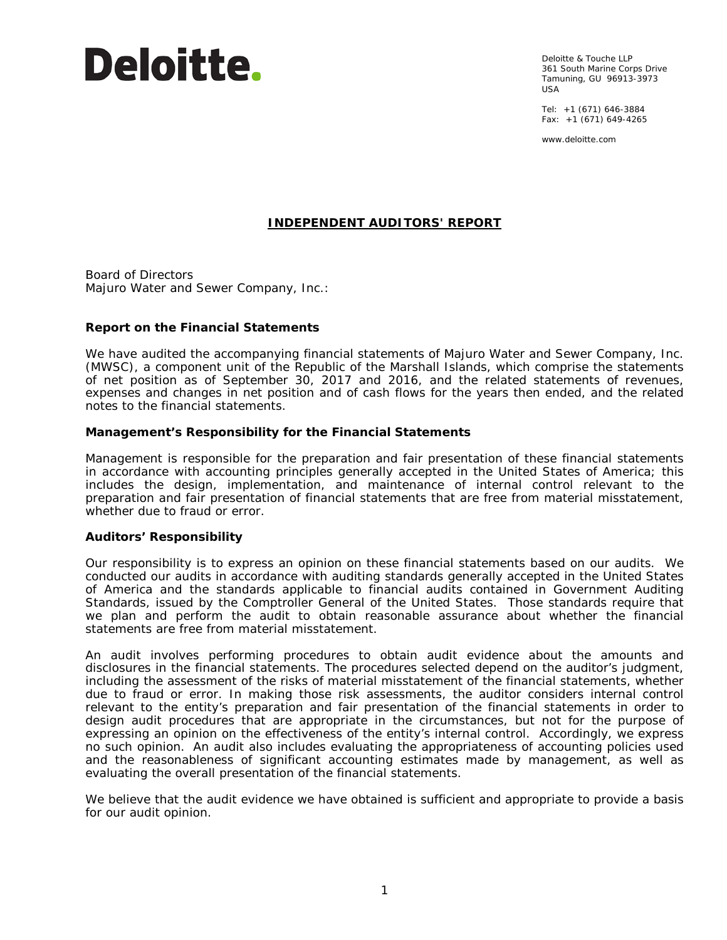# Deloitte.

Deloitte & Touche LLP 361 South Marine Corps Drive Tamuning, GU 96913-3973 USA

Tel: +1 (671) 646-3884 Fax: +1 (671) 649-4265

www.deloitte.com

# **INDEPENDENT AUDITORS' REPORT**

Board of Directors Majuro Water and Sewer Company, Inc.:

# **Report on the Financial Statements**

We have audited the accompanying financial statements of Majuro Water and Sewer Company, Inc. (MWSC), a component unit of the Republic of the Marshall Islands, which comprise the statements of net position as of September 30, 2017 and 2016, and the related statements of revenues, expenses and changes in net position and of cash flows for the years then ended, and the related notes to the financial statements.

#### *Management's Responsibility for the Financial Statements*

Management is responsible for the preparation and fair presentation of these financial statements in accordance with accounting principles generally accepted in the United States of America; this includes the design, implementation, and maintenance of internal control relevant to the preparation and fair presentation of financial statements that are free from material misstatement, whether due to fraud or error.

#### *Auditors' Responsibility*

Our responsibility is to express an opinion on these financial statements based on our audits. We conducted our audits in accordance with auditing standards generally accepted in the United States of America and the standards applicable to financial audits contained in *Government Auditing Standards,* issued by the Comptroller General of the United States. Those standards require that we plan and perform the audit to obtain reasonable assurance about whether the financial statements are free from material misstatement.

An audit involves performing procedures to obtain audit evidence about the amounts and disclosures in the financial statements. The procedures selected depend on the auditor's judgment, including the assessment of the risks of material misstatement of the financial statements, whether due to fraud or error. In making those risk assessments, the auditor considers internal control relevant to the entity's preparation and fair presentation of the financial statements in order to design audit procedures that are appropriate in the circumstances, but not for the purpose of expressing an opinion on the effectiveness of the entity's internal control. Accordingly, we express no such opinion. An audit also includes evaluating the appropriateness of accounting policies used and the reasonableness of significant accounting estimates made by management, as well as evaluating the overall presentation of the financial statements.

We believe that the audit evidence we have obtained is sufficient and appropriate to provide a basis for our audit opinion.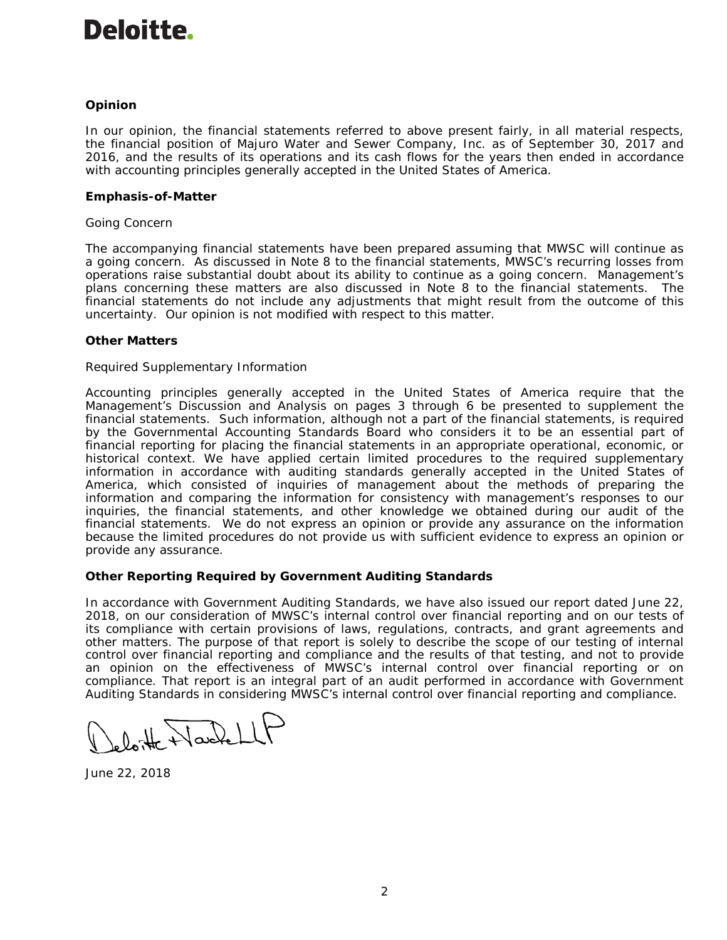# Deloitte.

# *Opinion*

In our opinion, the financial statements referred to above present fairly, in all material respects, the financial position of Majuro Water and Sewer Company, Inc. as of September 30, 2017 and 2016, and the results of its operations and its cash flows for the years then ended in accordance with accounting principles generally accepted in the United States of America.

#### *Emphasis-of-Matter*

#### *Going Concern*

The accompanying financial statements have been prepared assuming that MWSC will continue as a going concern. As discussed in Note 8 to the financial statements, MWSC's recurring losses from operations raise substantial doubt about its ability to continue as a going concern. Management's plans concerning these matters are also discussed in Note 8 to the financial statements. The financial statements do not include any adjustments that might result from the outcome of this uncertainty. Our opinion is not modified with respect to this matter.

# *Other Matters*

#### *Required Supplementary Information*

Accounting principles generally accepted in the United States of America require that the Management's Discussion and Analysis on pages 3 through 6 be presented to supplement the financial statements. Such information, although not a part of the financial statements, is required by the Governmental Accounting Standards Board who considers it to be an essential part of financial reporting for placing the financial statements in an appropriate operational, economic, or historical context. We have applied certain limited procedures to the required supplementary information in accordance with auditing standards generally accepted in the United States of America, which consisted of inquiries of management about the methods of preparing the information and comparing the information for consistency with management's responses to our inquiries, the financial statements, and other knowledge we obtained during our audit of the financial statements. We do not express an opinion or provide any assurance on the information because the limited procedures do not provide us with sufficient evidence to express an opinion or provide any assurance.

# **Other Reporting Required by** *Government Auditing Standards*

In accordance with *Government Auditing Standards*, we have also issued our report dated June 22, 2018, on our consideration of MWSC's internal control over financial reporting and on our tests of its compliance with certain provisions of laws, regulations, contracts, and grant agreements and other matters. The purpose of that report is solely to describe the scope of our testing of internal control over financial reporting and compliance and the results of that testing, and not to provide an opinion on the effectiveness of MWSC's internal control over financial reporting or on compliance. That report is an integral part of an audit performed in accordance with *Government Auditing Standards* in considering MWSC's internal control over financial reporting and compliance.

loite Harlett

June 22, 2018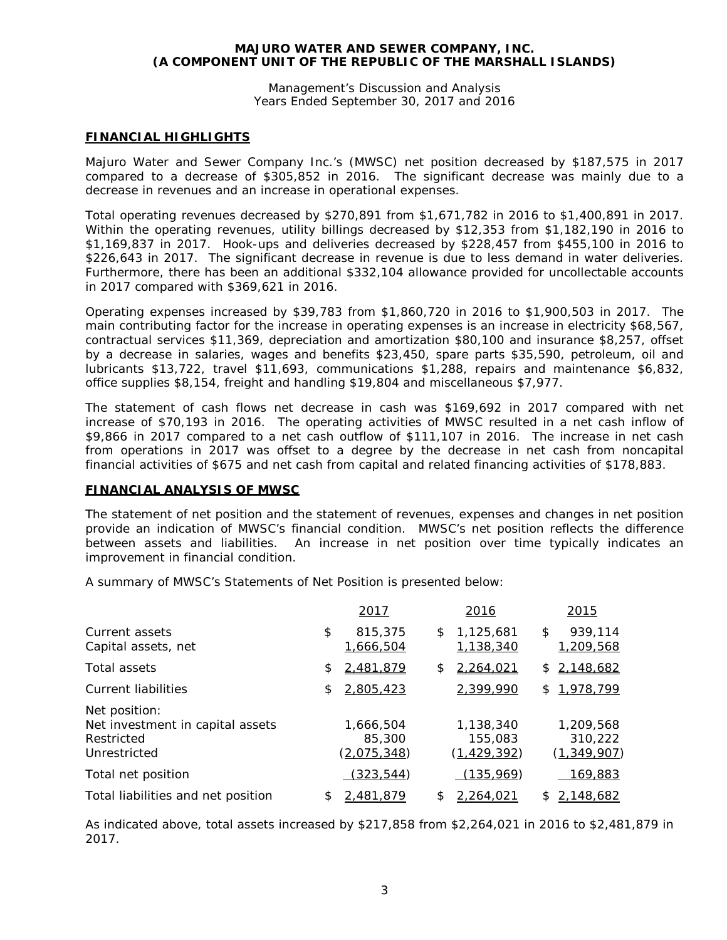Management's Discussion and Analysis Years Ended September 30, 2017 and 2016

#### **FINANCIAL HIGHLIGHTS**

Majuro Water and Sewer Company Inc.'s (MWSC) net position decreased by \$187,575 in 2017 compared to a decrease of \$305,852 in 2016. The significant decrease was mainly due to a decrease in revenues and an increase in operational expenses.

Total operating revenues decreased by \$270,891 from \$1,671,782 in 2016 to \$1,400,891 in 2017. Within the operating revenues, utility billings decreased by \$12,353 from \$1,182,190 in 2016 to \$1,169,837 in 2017. Hook-ups and deliveries decreased by \$228,457 from \$455,100 in 2016 to \$226,643 in 2017. The significant decrease in revenue is due to less demand in water deliveries. Furthermore, there has been an additional \$332,104 allowance provided for uncollectable accounts in 2017 compared with \$369,621 in 2016.

Operating expenses increased by \$39,783 from \$1,860,720 in 2016 to \$1,900,503 in 2017. The main contributing factor for the increase in operating expenses is an increase in electricity \$68,567, contractual services \$11,369, depreciation and amortization \$80,100 and insurance \$8,257, offset by a decrease in salaries, wages and benefits \$23,450, spare parts \$35,590, petroleum, oil and lubricants \$13,722, travel \$11,693, communications \$1,288, repairs and maintenance \$6,832, office supplies \$8,154, freight and handling \$19,804 and miscellaneous \$7,977.

The statement of cash flows net decrease in cash was \$169,692 in 2017 compared with net increase of \$70,193 in 2016. The operating activities of MWSC resulted in a net cash inflow of \$9,866 in 2017 compared to a net cash outflow of \$111,107 in 2016. The increase in net cash from operations in 2017 was offset to a degree by the decrease in net cash from noncapital financial activities of \$675 and net cash from capital and related financing activities of \$178,883.

#### **FINANCIAL ANALYSIS OF MWSC**

The statement of net position and the statement of revenues, expenses and changes in net position provide an indication of MWSC's financial condition. MWSC's net position reflects the difference between assets and liabilities. An increase in net position over time typically indicates an improvement in financial condition.

A summary of MWSC's Statements of Net Position is presented below:

|                                                                                 |    | 2017                               |    | 2016                                  |    | 2015                                  |
|---------------------------------------------------------------------------------|----|------------------------------------|----|---------------------------------------|----|---------------------------------------|
| Current assets<br>Capital assets, net                                           | \$ | 815,375<br>1,666,504               | \$ | 1,125,681<br>1,138,340                | \$ | 939,114<br>1,209,568                  |
| Total assets                                                                    | \$ | 2,481,879                          | \$ | 2,264,021                             | \$ | 2,148,682                             |
| <b>Current liabilities</b>                                                      | S  | 2,805,423                          |    | 2,399,990                             |    | \$1,978,799                           |
| Net position:<br>Net investment in capital assets<br>Restricted<br>Unrestricted |    | 1,666,504<br>85,300<br>(2,075,348) |    | 1,138,340<br>155,083<br>(1, 429, 392) |    | 1,209,568<br>310,222<br>(1, 349, 907) |
| Total net position                                                              |    | (323,544)                          |    | (135, 969)                            |    | 169,883                               |
| Total liabilities and net position                                              |    | 2.481.879                          | S  | 2.264.021                             | S  | 2,148,682                             |

As indicated above, total assets increased by \$217,858 from \$2,264,021 in 2016 to \$2,481,879 in 2017.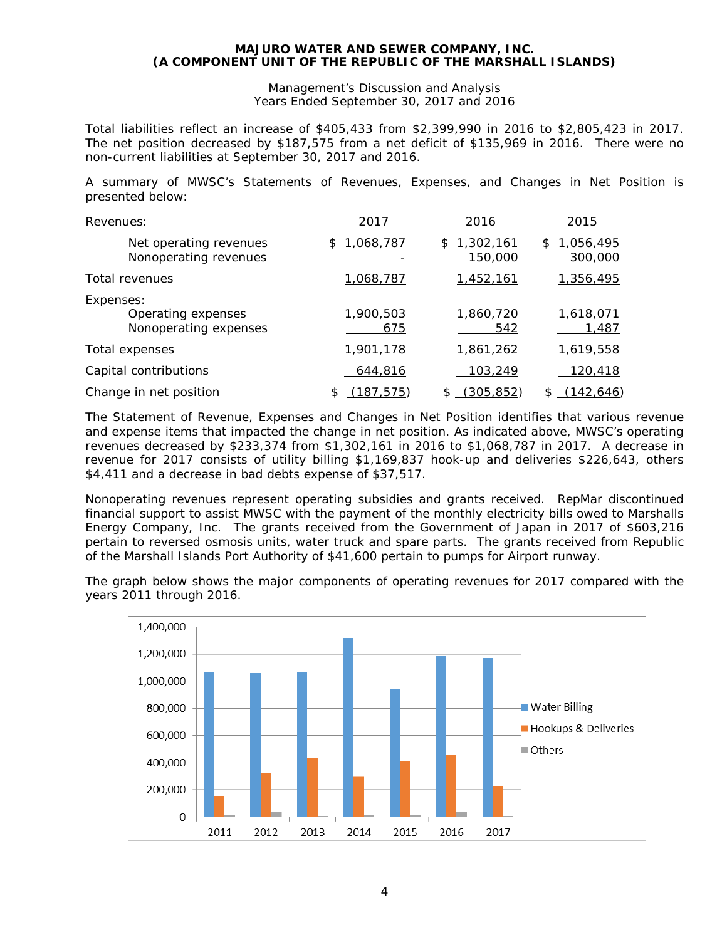Management's Discussion and Analysis Years Ended September 30, 2017 and 2016

Total liabilities reflect an increase of \$405,433 from \$2,399,990 in 2016 to \$2,805,423 in 2017. The net position decreased by \$187,575 from a net deficit of \$135,969 in 2016. There were no non-current liabilities at September 30, 2017 and 2016.

A summary of MWSC's Statements of Revenues, Expenses, and Changes in Net Position is presented below:

| Revenues:                                                | 2017             | 2016                   | 2015                       |
|----------------------------------------------------------|------------------|------------------------|----------------------------|
| Net operating revenues<br>Nonoperating revenues          | 1,068,787<br>\$  | \$1,302,161<br>150,000 | 1,056,495<br>\$<br>300,000 |
| Total revenues                                           | 1,068,787        | 1,452,161              | 1,356,495                  |
| Expenses:<br>Operating expenses<br>Nonoperating expenses | 1,900,503<br>675 | 1,860,720<br>542       | 1,618,071<br>1,487         |
| Total expenses                                           | 1,901,178        | 1,861,262              | 1,619,558                  |
| Capital contributions                                    | 644,816          | <u>103,249</u>         | <u>120,418</u>             |
| Change in net position                                   | <u>(187,575)</u> | (305, 852)<br>\$       | (142, 646)                 |

The Statement of Revenue, Expenses and Changes in Net Position identifies that various revenue and expense items that impacted the change in net position. As indicated above, MWSC's operating revenues decreased by \$233,374 from \$1,302,161 in 2016 to \$1,068,787 in 2017. A decrease in revenue for 2017 consists of utility billing \$1,169,837 hook-up and deliveries \$226,643, others \$4,411 and a decrease in bad debts expense of \$37,517.

Nonoperating revenues represent operating subsidies and grants received. RepMar discontinued financial support to assist MWSC with the payment of the monthly electricity bills owed to Marshalls Energy Company, Inc. The grants received from the Government of Japan in 2017 of \$603,216 pertain to reversed osmosis units, water truck and spare parts. The grants received from Republic of the Marshall Islands Port Authority of \$41,600 pertain to pumps for Airport runway.

The graph below shows the major components of operating revenues for 2017 compared with the years 2011 through 2016.

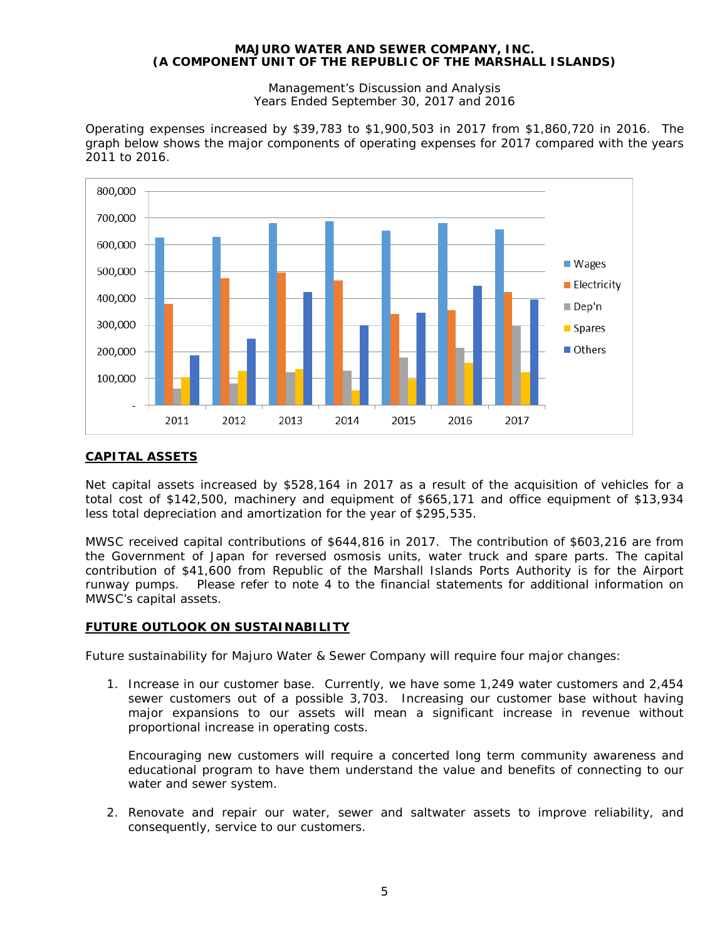Management's Discussion and Analysis Years Ended September 30, 2017 and 2016

Operating expenses increased by \$39,783 to \$1,900,503 in 2017 from \$1,860,720 in 2016. The graph below shows the major components of operating expenses for 2017 compared with the years 2011 to 2016.



# **CAPITAL ASSETS**

Net capital assets increased by \$528,164 in 2017 as a result of the acquisition of vehicles for a total cost of \$142,500, machinery and equipment of \$665,171 and office equipment of \$13,934 less total depreciation and amortization for the year of \$295,535.

MWSC received capital contributions of \$644,816 in 2017. The contribution of \$603,216 are from the Government of Japan for reversed osmosis units, water truck and spare parts. The capital contribution of \$41,600 from Republic of the Marshall Islands Ports Authority is for the Airport runway pumps. Please refer to note 4 to the financial statements for additional information on MWSC's capital assets.

# **FUTURE OUTLOOK ON SUSTAINABILITY**

Future sustainability for Majuro Water & Sewer Company will require four major changes:

1. Increase in our customer base. Currently, we have some 1,249 water customers and 2,454 sewer customers out of a possible 3,703. Increasing our customer base without having major expansions to our assets will mean a significant increase in revenue without proportional increase in operating costs.

Encouraging new customers will require a concerted long term community awareness and educational program to have them understand the value and benefits of connecting to our water and sewer system.

2. Renovate and repair our water, sewer and saltwater assets to improve reliability, and consequently, service to our customers.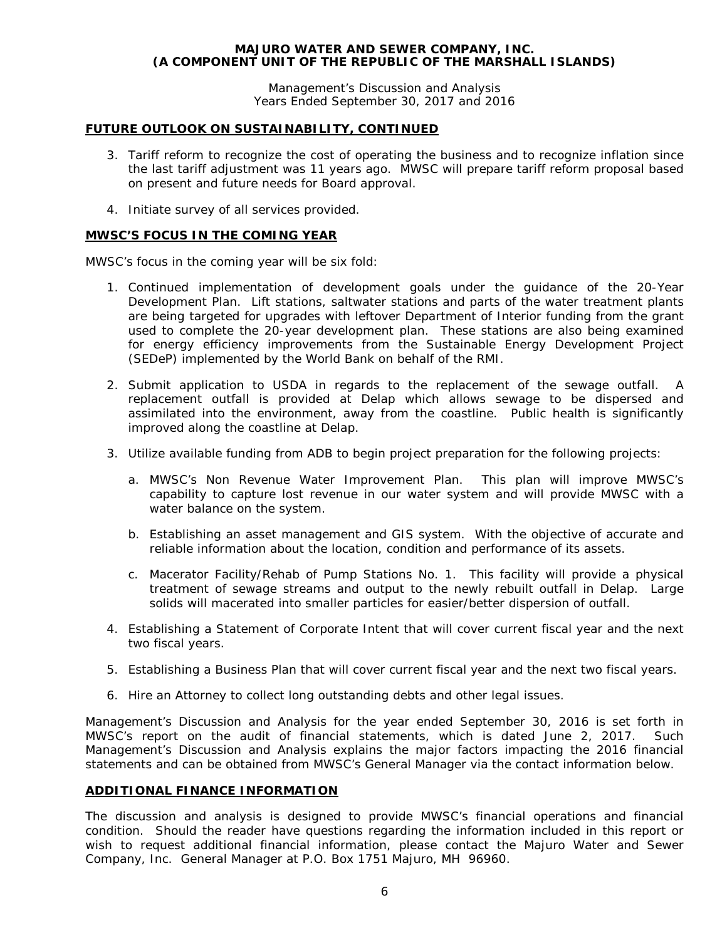Management's Discussion and Analysis Years Ended September 30, 2017 and 2016

#### **FUTURE OUTLOOK ON SUSTAINABILITY, CONTINUED**

- 3. Tariff reform to recognize the cost of operating the business and to recognize inflation since the last tariff adjustment was 11 years ago. MWSC will prepare tariff reform proposal based on present and future needs for Board approval.
- 4. Initiate survey of all services provided.

#### **MWSC'S FOCUS IN THE COMING YEAR**

MWSC's focus in the coming year will be six fold:

- 1. Continued implementation of development goals under the guidance of the 20-Year Development Plan. Lift stations, saltwater stations and parts of the water treatment plants are being targeted for upgrades with leftover Department of Interior funding from the grant used to complete the 20-year development plan. These stations are also being examined for energy efficiency improvements from the Sustainable Energy Development Project (SEDeP) implemented by the World Bank on behalf of the RMI.
- 2. Submit application to USDA in regards to the replacement of the sewage outfall. A replacement outfall is provided at Delap which allows sewage to be dispersed and assimilated into the environment, away from the coastline. Public health is significantly improved along the coastline at Delap.
- 3. Utilize available funding from ADB to begin project preparation for the following projects:
	- a. MWSC's Non Revenue Water Improvement Plan. This plan will improve MWSC's capability to capture lost revenue in our water system and will provide MWSC with a water balance on the system.
	- b. Establishing an asset management and GIS system. With the objective of accurate and reliable information about the location, condition and performance of its assets.
	- c. Macerator Facility/Rehab of Pump Stations No. 1. This facility will provide a physical treatment of sewage streams and output to the newly rebuilt outfall in Delap. Large solids will macerated into smaller particles for easier/better dispersion of outfall.
- 4. Establishing a Statement of Corporate Intent that will cover current fiscal year and the next two fiscal years.
- 5. Establishing a Business Plan that will cover current fiscal year and the next two fiscal years.
- 6. Hire an Attorney to collect long outstanding debts and other legal issues.

Management's Discussion and Analysis for the year ended September 30, 2016 is set forth in MWSC's report on the audit of financial statements, which is dated June 2, 2017. Such Management's Discussion and Analysis explains the major factors impacting the 2016 financial statements and can be obtained from MWSC's General Manager via the contact information below.

#### **ADDITIONAL FINANCE INFORMATION**

The discussion and analysis is designed to provide MWSC's financial operations and financial condition. Should the reader have questions regarding the information included in this report or wish to request additional financial information, please contact the Majuro Water and Sewer Company, Inc. General Manager at P.O. Box 1751 Majuro, MH 96960.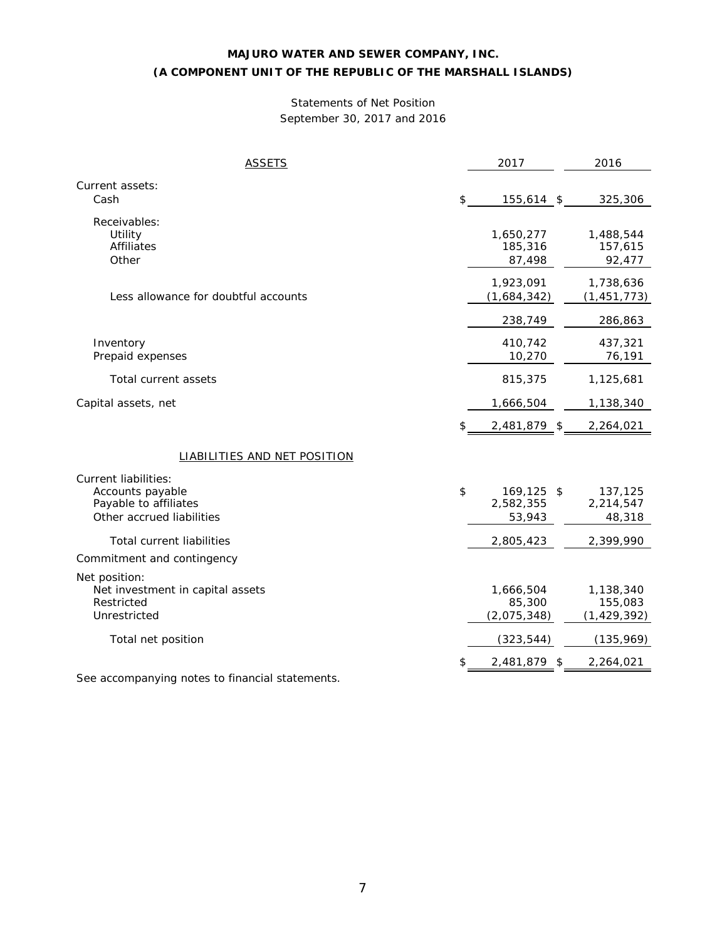# Statements of Net Position September 30, 2017 and 2016

| <b>ASSETS</b>                                                                                         | 2017                                    | 2016                                  |
|-------------------------------------------------------------------------------------------------------|-----------------------------------------|---------------------------------------|
| Current assets:<br>Cash                                                                               | \$<br>155,614 \$                        | 325,306                               |
| Receivables:<br>Utility<br>Affiliates<br>Other                                                        | 1,650,277<br>185,316<br>87,498          | 1,488,544<br>157,615<br>92,477        |
| Less allowance for doubtful accounts                                                                  | 1,923,091<br>(1,684,342)                | 1,738,636<br>(1, 451, 773)            |
|                                                                                                       | 238,749                                 | 286,863                               |
| Inventory<br>Prepaid expenses                                                                         | 410,742<br>10,270                       | 437,321<br>76,191                     |
| Total current assets                                                                                  | 815,375                                 | 1,125,681                             |
| Capital assets, net                                                                                   | 1,666,504                               | 1,138,340                             |
|                                                                                                       | \$<br>2,481,879 \$                      | 2,264,021                             |
| <b>LIABILITIES AND NET POSITION</b>                                                                   |                                         |                                       |
| <b>Current liabilities:</b><br>Accounts payable<br>Payable to affiliates<br>Other accrued liabilities | \$<br>169,125 \$<br>2,582,355<br>53,943 | 137,125<br>2,214,547<br>48,318        |
| <b>Total current liabilities</b>                                                                      | 2,805,423                               | 2,399,990                             |
| Commitment and contingency                                                                            |                                         |                                       |
| Net position:<br>Net investment in capital assets<br>Restricted<br>Unrestricted                       | 1,666,504<br>85,300<br>(2,075,348)      | 1,138,340<br>155,083<br>(1, 429, 392) |
| Total net position                                                                                    | (323, 544)                              | (135, 969)                            |
|                                                                                                       | \$<br>2,481,879 \$                      | 2,264,021                             |
| See accompanying notes to financial statements.                                                       |                                         |                                       |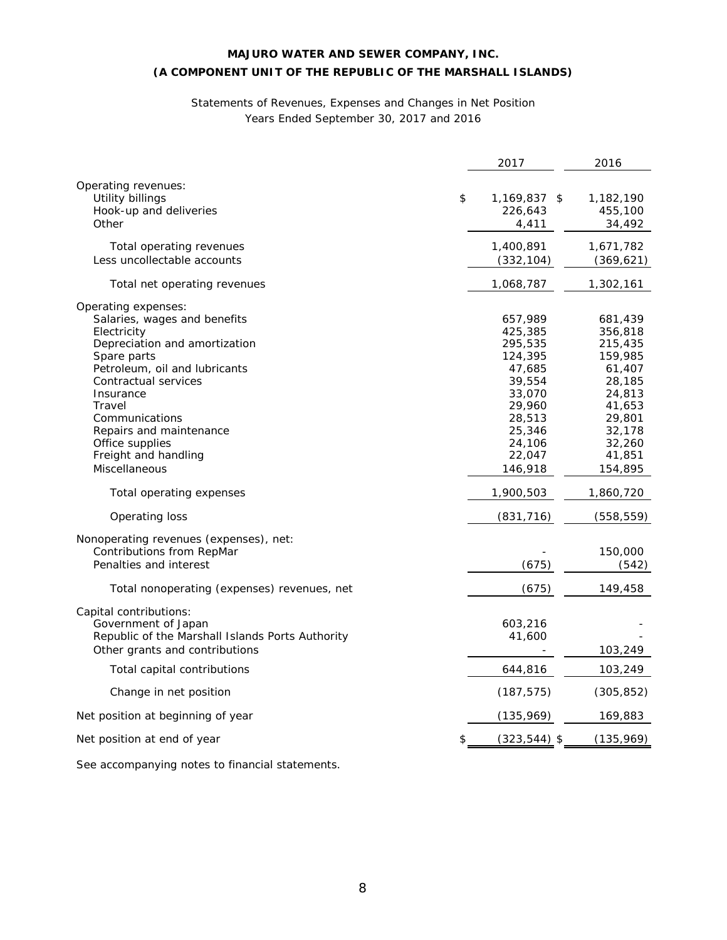# Statements of Revenues, Expenses and Changes in Net Position Years Ended September 30, 2017 and 2016

|                                                                                                                                                                                                                                                                                                                                                           | 2017                                                                                                                                                           | 2016                                                                                                                                                           |
|-----------------------------------------------------------------------------------------------------------------------------------------------------------------------------------------------------------------------------------------------------------------------------------------------------------------------------------------------------------|----------------------------------------------------------------------------------------------------------------------------------------------------------------|----------------------------------------------------------------------------------------------------------------------------------------------------------------|
| Operating revenues:<br>Utility billings<br>Hook-up and deliveries<br>Other                                                                                                                                                                                                                                                                                | \$<br>1,169,837 \$<br>226,643<br>4,411                                                                                                                         | 1,182,190<br>455,100<br>34,492                                                                                                                                 |
| Total operating revenues<br>Less uncollectable accounts                                                                                                                                                                                                                                                                                                   | 1,400,891<br>(332, 104)                                                                                                                                        | 1,671,782<br>(369, 621)                                                                                                                                        |
| Total net operating revenues                                                                                                                                                                                                                                                                                                                              | 1,068,787                                                                                                                                                      | 1,302,161                                                                                                                                                      |
| Operating expenses:<br>Salaries, wages and benefits<br>Electricity<br>Depreciation and amortization<br>Spare parts<br>Petroleum, oil and lubricants<br>Contractual services<br>Insurance<br>Travel<br>Communications<br>Repairs and maintenance<br>Office supplies<br>Freight and handling<br>Miscellaneous<br>Total operating expenses<br>Operating loss | 657,989<br>425,385<br>295,535<br>124,395<br>47,685<br>39,554<br>33,070<br>29,960<br>28,513<br>25,346<br>24,106<br>22,047<br>146,918<br>1,900,503<br>(831, 716) | 681,439<br>356,818<br>215,435<br>159,985<br>61,407<br>28,185<br>24,813<br>41,653<br>29,801<br>32,178<br>32,260<br>41,851<br>154,895<br>1,860,720<br>(558, 559) |
| Nonoperating revenues (expenses), net:<br>Contributions from RepMar<br>Penalties and interest                                                                                                                                                                                                                                                             | (675)                                                                                                                                                          | 150,000<br>(542)                                                                                                                                               |
| Total nonoperating (expenses) revenues, net                                                                                                                                                                                                                                                                                                               | (675)                                                                                                                                                          | 149,458                                                                                                                                                        |
| Capital contributions:<br>Government of Japan<br>Republic of the Marshall Islands Ports Authority<br>Other grants and contributions                                                                                                                                                                                                                       | 603,216<br>41,600                                                                                                                                              | 103,249                                                                                                                                                        |
| Total capital contributions                                                                                                                                                                                                                                                                                                                               | 644,816                                                                                                                                                        | 103,249                                                                                                                                                        |
| Change in net position                                                                                                                                                                                                                                                                                                                                    | (187, 575)                                                                                                                                                     | (305, 852)                                                                                                                                                     |
| Net position at beginning of year                                                                                                                                                                                                                                                                                                                         | (135, 969)                                                                                                                                                     | 169,883                                                                                                                                                        |
| Net position at end of year                                                                                                                                                                                                                                                                                                                               | \$<br>$(323, 544)$ \$                                                                                                                                          | (135, 969)                                                                                                                                                     |

See accompanying notes to financial statements.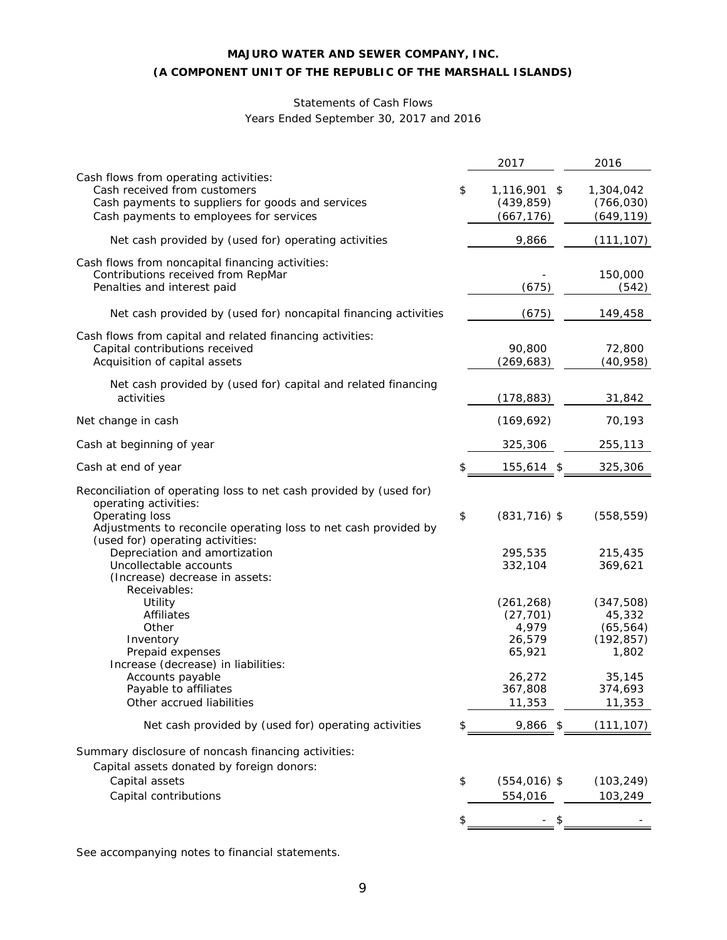### Statements of Cash Flows

Years Ended September 30, 2017 and 2016

|                                                                                                                                                                                                                       | 2017                                                 | 2016                                                    |
|-----------------------------------------------------------------------------------------------------------------------------------------------------------------------------------------------------------------------|------------------------------------------------------|---------------------------------------------------------|
| Cash flows from operating activities:<br>Cash received from customers<br>Cash payments to suppliers for goods and services<br>Cash payments to employees for services                                                 | \$<br>1,116,901 \$<br>(439, 859)<br>(667, 176)       | 1,304,042<br>(766, 030)<br>(649, 119)                   |
| Net cash provided by (used for) operating activities                                                                                                                                                                  | 9,866                                                | (111, 107)                                              |
| Cash flows from noncapital financing activities:<br>Contributions received from RepMar<br>Penalties and interest paid                                                                                                 | (675)                                                | 150,000<br>(542)                                        |
| Net cash provided by (used for) noncapital financing activities                                                                                                                                                       | (675)                                                | 149,458                                                 |
| Cash flows from capital and related financing activities:<br>Capital contributions received<br>Acquisition of capital assets                                                                                          | 90,800<br>(269, 683)                                 | 72,800<br>(40, 958)                                     |
| Net cash provided by (used for) capital and related financing<br>activities                                                                                                                                           | (178, 883)                                           | 31,842                                                  |
| Net change in cash                                                                                                                                                                                                    | (169, 692)                                           | 70,193                                                  |
| Cash at beginning of year                                                                                                                                                                                             | 325,306                                              | 255,113                                                 |
| Cash at end of year                                                                                                                                                                                                   | 155,614 \$                                           | 325,306                                                 |
| Reconciliation of operating loss to net cash provided by (used for)<br>operating activities:<br>Operating loss<br>Adjustments to reconcile operating loss to net cash provided by<br>(used for) operating activities: | \$<br>$(831, 716)$ \$                                | (558, 559)                                              |
| Depreciation and amortization<br>Uncollectable accounts<br>(Increase) decrease in assets:<br>Receivables:                                                                                                             | 295,535<br>332,104                                   | 215,435<br>369,621                                      |
| Utility<br>Affiliates<br>Other<br>Inventory<br>Prepaid expenses<br>Increase (decrease) in liabilities:                                                                                                                | (261, 268)<br>(27, 701)<br>4,979<br>26,579<br>65,921 | (347,508)<br>45,332<br>(65, 564)<br>(192, 857)<br>1,802 |
| Accounts payable<br>Payable to affiliates<br>Other accrued liabilities                                                                                                                                                | 26,272<br>367,808<br>11,353                          | 35,145<br>374,693<br>11,353                             |
| Net cash provided by (used for) operating activities                                                                                                                                                                  | \$<br>9,866 \$                                       | (111, 107)                                              |
| Summary disclosure of noncash financing activities:<br>Capital assets donated by foreign donors:                                                                                                                      |                                                      |                                                         |
| Capital assets<br>Capital contributions                                                                                                                                                                               | \$<br>$(554, 016)$ \$<br>554,016                     | (103, 249)<br>103,249                                   |
|                                                                                                                                                                                                                       |                                                      |                                                         |
|                                                                                                                                                                                                                       |                                                      |                                                         |

See accompanying notes to financial statements.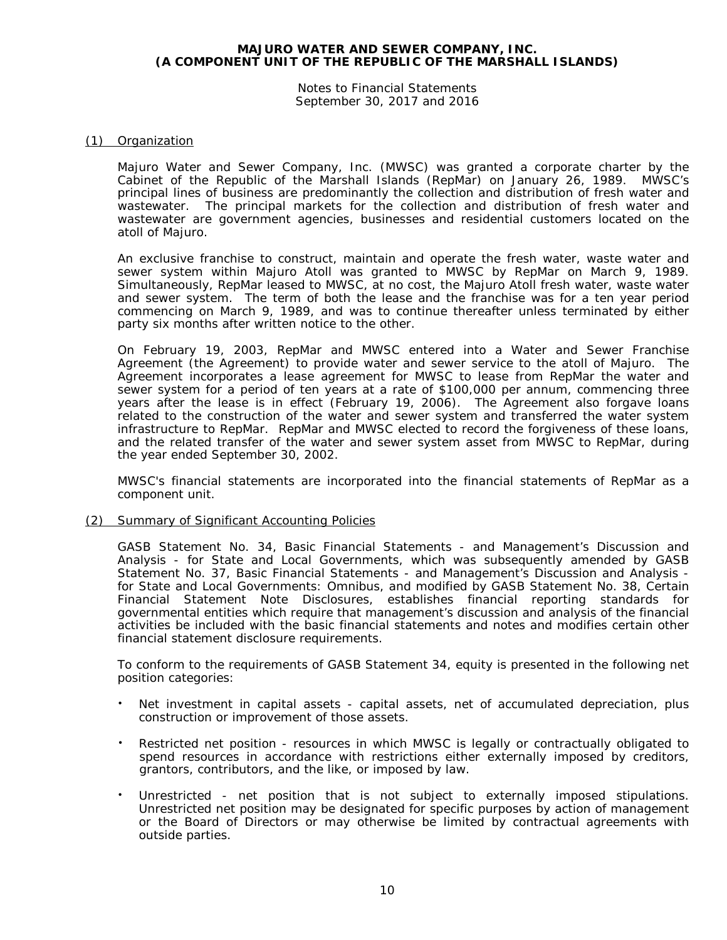Notes to Financial Statements September 30, 2017 and 2016

#### (1) Organization

Majuro Water and Sewer Company, Inc. (MWSC) was granted a corporate charter by the Cabinet of the Republic of the Marshall Islands (RepMar) on January 26, 1989. MWSC's principal lines of business are predominantly the collection and distribution of fresh water and wastewater. The principal markets for the collection and distribution of fresh water and wastewater are government agencies, businesses and residential customers located on the atoll of Majuro.

An exclusive franchise to construct, maintain and operate the fresh water, waste water and sewer system within Majuro Atoll was granted to MWSC by RepMar on March 9, 1989. Simultaneously, RepMar leased to MWSC, at no cost, the Majuro Atoll fresh water, waste water and sewer system. The term of both the lease and the franchise was for a ten year period commencing on March 9, 1989, and was to continue thereafter unless terminated by either party six months after written notice to the other.

On February 19, 2003, RepMar and MWSC entered into a Water and Sewer Franchise Agreement (the Agreement) to provide water and sewer service to the atoll of Majuro. The Agreement incorporates a lease agreement for MWSC to lease from RepMar the water and sewer system for a period of ten years at a rate of \$100,000 per annum, commencing three years after the lease is in effect (February 19, 2006). The Agreement also forgave loans related to the construction of the water and sewer system and transferred the water system infrastructure to RepMar. RepMar and MWSC elected to record the forgiveness of these loans, and the related transfer of the water and sewer system asset from MWSC to RepMar, during the year ended September 30, 2002.

MWSC's financial statements are incorporated into the financial statements of RepMar as a component unit.

#### (2) Summary of Significant Accounting Policies

GASB Statement No. 34, *Basic Financial Statements - and Management's Discussion and Analysis - for State and Local Governments*, which was subsequently amended by GASB Statement No. 37, *Basic Financial Statements - and Management's Discussion and Analysis for State and Local Governments: Omnibus*, and modified by GASB Statement No. 38, *Certain Financial Statement Note Disclosures*, establishes financial reporting standards for governmental entities which require that management's discussion and analysis of the financial activities be included with the basic financial statements and notes and modifies certain other financial statement disclosure requirements.

To conform to the requirements of GASB Statement 34, equity is presented in the following net position categories:

- Net investment in capital assets capital assets, net of accumulated depreciation, plus construction or improvement of those assets.
- Restricted net position resources in which MWSC is legally or contractually obligated to spend resources in accordance with restrictions either externally imposed by creditors, grantors, contributors, and the like, or imposed by law.
- Unrestricted net position that is not subject to externally imposed stipulations. Unrestricted net position may be designated for specific purposes by action of management or the Board of Directors or may otherwise be limited by contractual agreements with outside parties.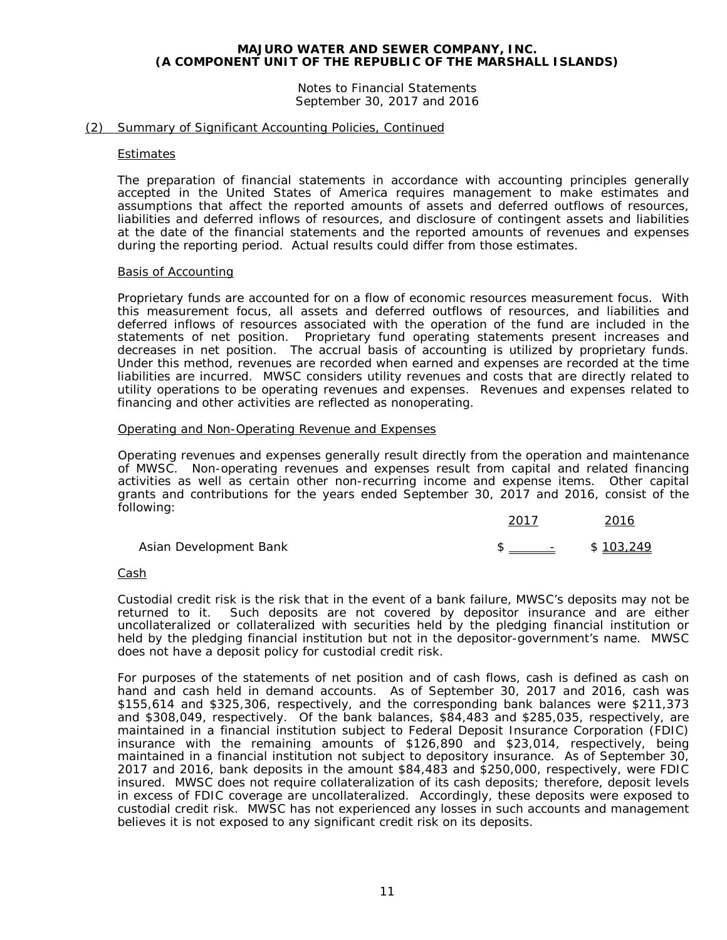Notes to Financial Statements September 30, 2017 and 2016

#### (2) Summary of Significant Accounting Policies, Continued

#### **Estimates**

The preparation of financial statements in accordance with accounting principles generally accepted in the United States of America requires management to make estimates and assumptions that affect the reported amounts of assets and deferred outflows of resources, liabilities and deferred inflows of resources, and disclosure of contingent assets and liabilities at the date of the financial statements and the reported amounts of revenues and expenses during the reporting period. Actual results could differ from those estimates.

#### Basis of Accounting

Proprietary funds are accounted for on a flow of economic resources measurement focus. With this measurement focus, all assets and deferred outflows of resources, and liabilities and deferred inflows of resources associated with the operation of the fund are included in the statements of net position. Proprietary fund operating statements present increases and decreases in net position. The accrual basis of accounting is utilized by proprietary funds. Under this method, revenues are recorded when earned and expenses are recorded at the time liabilities are incurred. MWSC considers utility revenues and costs that are directly related to utility operations to be operating revenues and expenses. Revenues and expenses related to financing and other activities are reflected as nonoperating.

#### Operating and Non-Operating Revenue and Expenses

Operating revenues and expenses generally result directly from the operation and maintenance of MWSC. Non-operating revenues and expenses result from capital and related financing activities as well as certain other non-recurring income and expense items. Other capital grants and contributions for the years ended September 30, 2017 and 2016, consist of the following:

|                        | 2017                                                                                                | 2016      |
|------------------------|-----------------------------------------------------------------------------------------------------|-----------|
| Asian Development Bank | $\Delta \alpha$ , and $\Delta \beta$ , and $\Delta \beta$ , and $\Delta \beta$ , and $\Delta \beta$ | \$103,249 |

#### Cash

Custodial credit risk is the risk that in the event of a bank failure, MWSC's deposits may not be returned to it. Such deposits are not covered by depositor insurance and are either uncollateralized or collateralized with securities held by the pledging financial institution or held by the pledging financial institution but not in the depositor-government's name. MWSC does not have a deposit policy for custodial credit risk.

For purposes of the statements of net position and of cash flows, cash is defined as cash on hand and cash held in demand accounts. As of September 30, 2017 and 2016, cash was \$155,614 and \$325,306, respectively, and the corresponding bank balances were \$211,373 and \$308,049, respectively. Of the bank balances, \$84,483 and \$285,035, respectively, are maintained in a financial institution subject to Federal Deposit Insurance Corporation (FDIC) insurance with the remaining amounts of \$126,890 and \$23,014, respectively, being maintained in a financial institution not subject to depository insurance. As of September 30, 2017 and 2016, bank deposits in the amount \$84,483 and \$250,000, respectively, were FDIC insured. MWSC does not require collateralization of its cash deposits; therefore, deposit levels in excess of FDIC coverage are uncollateralized. Accordingly, these deposits were exposed to custodial credit risk. MWSC has not experienced any losses in such accounts and management believes it is not exposed to any significant credit risk on its deposits.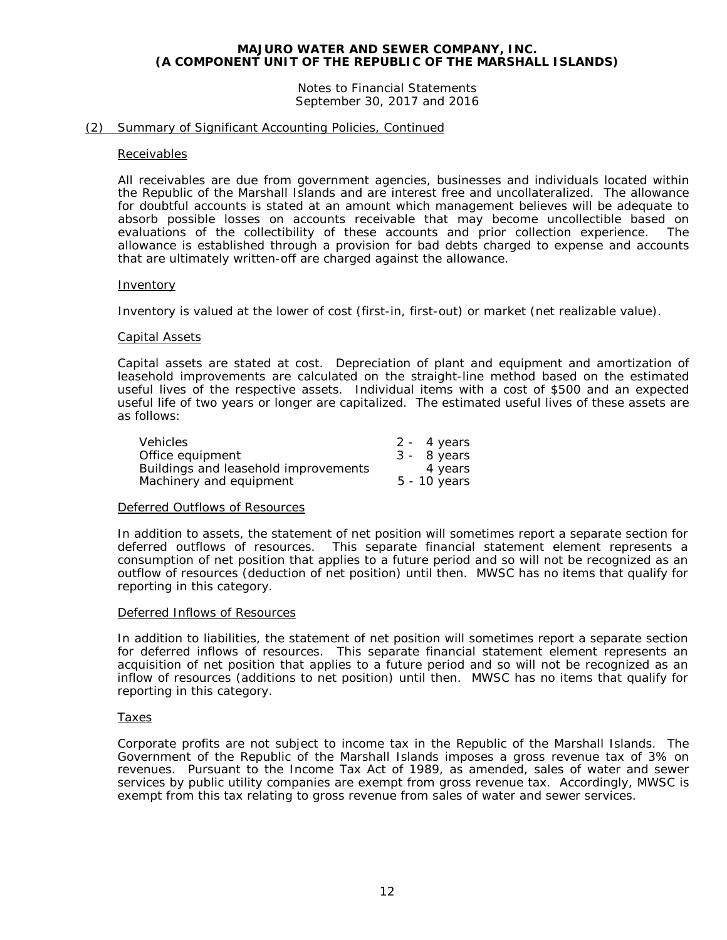Notes to Financial Statements September 30, 2017 and 2016

#### (2) Summary of Significant Accounting Policies, Continued

#### Receivables

All receivables are due from government agencies, businesses and individuals located within the Republic of the Marshall Islands and are interest free and uncollateralized. The allowance for doubtful accounts is stated at an amount which management believes will be adequate to absorb possible losses on accounts receivable that may become uncollectible based on evaluations of the collectibility of these accounts and prior collection experience. The allowance is established through a provision for bad debts charged to expense and accounts that are ultimately written-off are charged against the allowance.

#### Inventory

Inventory is valued at the lower of cost (first-in, first-out) or market (net realizable value).

#### Capital Assets

Capital assets are stated at cost. Depreciation of plant and equipment and amortization of leasehold improvements are calculated on the straight-line method based on the estimated useful lives of the respective assets. Individual items with a cost of \$500 and an expected useful life of two years or longer are capitalized. The estimated useful lives of these assets are as follows:

| Vehicles                             | $2 - 4$ years  |
|--------------------------------------|----------------|
| Office equipment                     | $3 - 8$ years  |
| Buildings and leasehold improvements | 4 years        |
| Machinery and equipment              | $5 - 10$ years |

#### Deferred Outflows of Resources

In addition to assets, the statement of net position will sometimes report a separate section for deferred outflows of resources. This separate financial statement element represents a consumption of net position that applies to a future period and so will not be recognized as an outflow of resources (deduction of net position) until then. MWSC has no items that qualify for reporting in this category.

#### Deferred Inflows of Resources

In addition to liabilities, the statement of net position will sometimes report a separate section for deferred inflows of resources. This separate financial statement element represents an acquisition of net position that applies to a future period and so will not be recognized as an inflow of resources (additions to net position) until then. MWSC has no items that qualify for reporting in this category.

#### **Taxes**

Corporate profits are not subject to income tax in the Republic of the Marshall Islands. The Government of the Republic of the Marshall Islands imposes a gross revenue tax of 3% on revenues. Pursuant to the Income Tax Act of 1989, as amended, sales of water and sewer services by public utility companies are exempt from gross revenue tax. Accordingly, MWSC is exempt from this tax relating to gross revenue from sales of water and sewer services.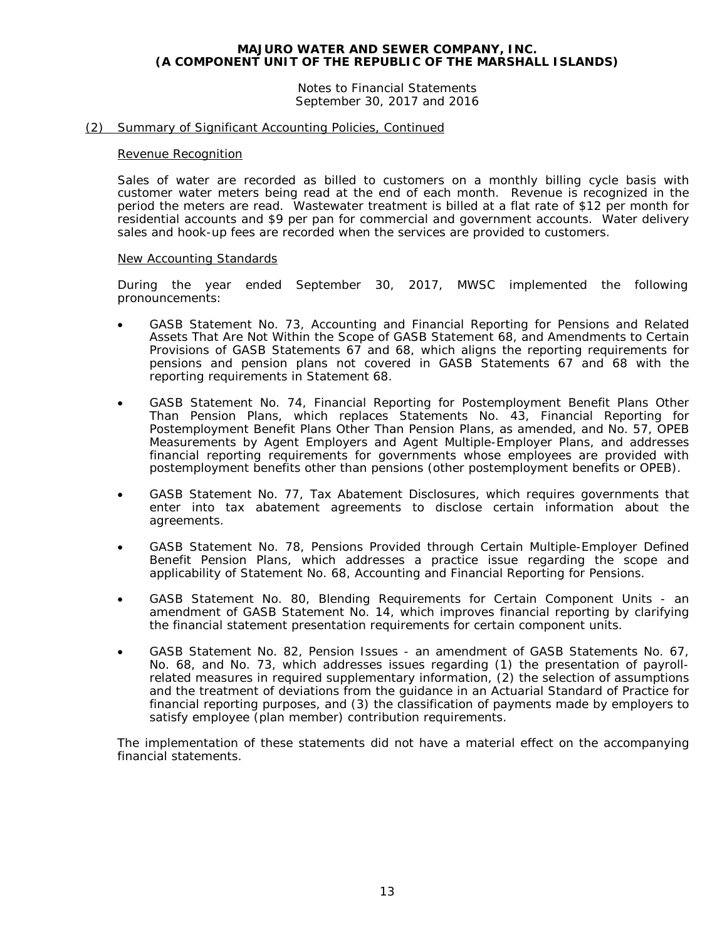Notes to Financial Statements September 30, 2017 and 2016

#### (2) Summary of Significant Accounting Policies, Continued

#### Revenue Recognition

Sales of water are recorded as billed to customers on a monthly billing cycle basis with customer water meters being read at the end of each month. Revenue is recognized in the period the meters are read. Wastewater treatment is billed at a flat rate of \$12 per month for residential accounts and \$9 per pan for commercial and government accounts. Water delivery sales and hook-up fees are recorded when the services are provided to customers.

#### New Accounting Standards

During the year ended September 30, 2017, MWSC implemented the following pronouncements:

- GASB Statement No. 73, *Accounting and Financial Reporting for Pensions and Related Assets That Are Not Within the Scope of GASB Statement 68, and Amendments to Certain Provisions of GASB Statements 67 and 68*, which aligns the reporting requirements for pensions and pension plans not covered in GASB Statements 67 and 68 with the reporting requirements in Statement 68.
- GASB Statement No. 74, *Financial Reporting for Postemployment Benefit Plans Other Than Pension Plans*, which replaces Statements No. 43, *Financial Reporting for Postemployment Benefit Plans Other Than Pension Plans,* as amended, and No. 57, *OPEB Measurements by Agent Employers and Agent Multiple-Employer Plans*, and addresses financial reporting requirements for governments whose employees are provided with postemployment benefits other than pensions (other postemployment benefits or OPEB).
- GASB Statement No. 77, *Tax Abatement Disclosures*, which requires governments that enter into tax abatement agreements to disclose certain information about the agreements.
- GASB Statement No. 78, *Pensions Provided through Certain Multiple-Employer Defined Benefit Pension Plans*, which addresses a practice issue regarding the scope and applicability of Statement No. 68, *Accounting and Financial Reporting for Pensions*.
- GASB Statement No. 80, *Blending Requirements for Certain Component Units - an amendment of GASB Statement No. 14*, which improves financial reporting by clarifying the financial statement presentation requirements for certain component units.
- GASB Statement No. 82, *Pension Issues - an amendment of GASB Statements No. 67, No. 68, and No. 73*, which addresses issues regarding (1) the presentation of payrollrelated measures in required supplementary information, (2) the selection of assumptions and the treatment of deviations from the guidance in an Actuarial Standard of Practice for financial reporting purposes, and (3) the classification of payments made by employers to satisfy employee (plan member) contribution requirements.

The implementation of these statements did not have a material effect on the accompanying financial statements.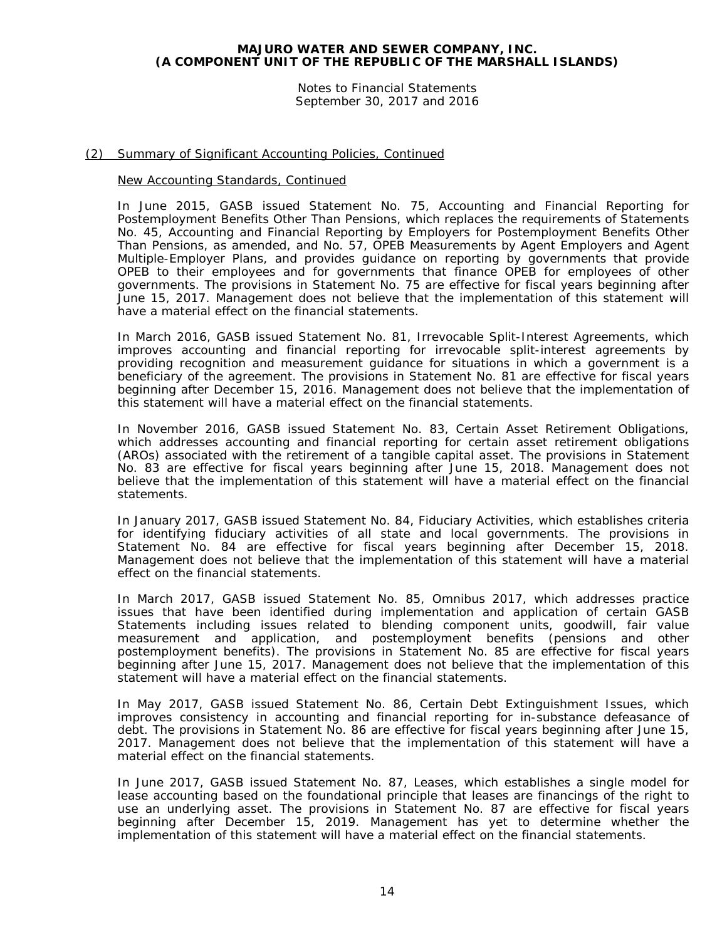Notes to Financial Statements September 30, 2017 and 2016

#### (2) Summary of Significant Accounting Policies, Continued

#### New Accounting Standards, Continued

In June 2015, GASB issued Statement No. 75, *Accounting and Financial Reporting for Postemployment Benefits Other Than Pensions*, which replaces the requirements of Statements No. 45, *Accounting and Financial Reporting by Employers for Postemployment Benefits Other Than Pensions*, as amended, and No. 57, *OPEB Measurements by Agent Employers and Agent Multiple-Employer Plans*, and provides guidance on reporting by governments that provide OPEB to their employees and for governments that finance OPEB for employees of other governments. The provisions in Statement No. 75 are effective for fiscal years beginning after June 15, 2017. Management does not believe that the implementation of this statement will have a material effect on the financial statements.

In March 2016, GASB issued Statement No. 81, *Irrevocable Split-Interest Agreements,* which improves accounting and financial reporting for irrevocable split-interest agreements by providing recognition and measurement guidance for situations in which a government is a beneficiary of the agreement. The provisions in Statement No. 81 are effective for fiscal years beginning after December 15, 2016. Management does not believe that the implementation of this statement will have a material effect on the financial statements.

In November 2016, GASB issued Statement No. 83, *Certain Asset Retirement Obligations*, which addresses accounting and financial reporting for certain asset retirement obligations (AROs) associated with the retirement of a tangible capital asset. The provisions in Statement No. 83 are effective for fiscal years beginning after June 15, 2018. Management does not believe that the implementation of this statement will have a material effect on the financial statements.

In January 2017, GASB issued Statement No. 84, *Fiduciary Activities*, which establishes criteria for identifying fiduciary activities of all state and local governments. The provisions in Statement No. 84 are effective for fiscal years beginning after December 15, 2018. Management does not believe that the implementation of this statement will have a material effect on the financial statements.

In March 2017, GASB issued Statement No. 85, *Omnibus 2017*, which addresses practice issues that have been identified during implementation and application of certain GASB Statements including issues related to blending component units, goodwill, fair value measurement and application, and postemployment benefits (pensions and other postemployment benefits). The provisions in Statement No. 85 are effective for fiscal years beginning after June 15, 2017. Management does not believe that the implementation of this statement will have a material effect on the financial statements.

In May 2017, GASB issued Statement No. 86, *Certain Debt Extinguishment Issues*, which improves consistency in accounting and financial reporting for in-substance defeasance of debt. The provisions in Statement No. 86 are effective for fiscal years beginning after June 15, 2017. Management does not believe that the implementation of this statement will have a material effect on the financial statements.

In June 2017, GASB issued Statement No. 87, *Leases*, which establishes a single model for lease accounting based on the foundational principle that leases are financings of the right to use an underlying asset. The provisions in Statement No. 87 are effective for fiscal years beginning after December 15, 2019. Management has yet to determine whether the implementation of this statement will have a material effect on the financial statements.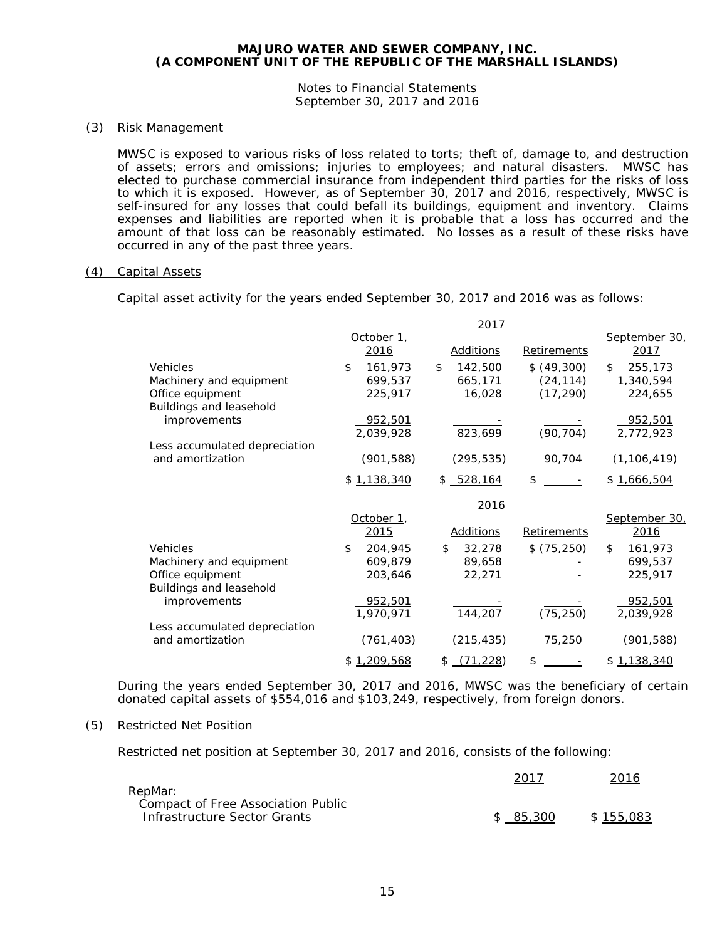Notes to Financial Statements September 30, 2017 and 2016

#### (3) Risk Management

MWSC is exposed to various risks of loss related to torts; theft of, damage to, and destruction of assets; errors and omissions; injuries to employees; and natural disasters. MWSC has elected to purchase commercial insurance from independent third parties for the risks of loss to which it is exposed. However, as of September 30, 2017 and 2016, respectively, MWSC is self-insured for any losses that could befall its buildings, equipment and inventory. Claims expenses and liabilities are reported when it is probable that a loss has occurred and the amount of that loss can be reasonably estimated. No losses as a result of these risks have occurred in any of the past three years.

#### (4) Capital Assets

Capital asset activity for the years ended September 30, 2017 and 2016 was as follows:

|                                                   |               | 2017             |             |               |
|---------------------------------------------------|---------------|------------------|-------------|---------------|
|                                                   | October 1,    |                  |             | September 30, |
|                                                   | 2016          | <u>Additions</u> | Retirements | <u>2017</u>   |
| Vehicles                                          | 161,973<br>\$ | \$<br>142,500    | \$ (49,300) | \$<br>255,173 |
| Machinery and equipment                           | 699,537       | 665,171          | (24, 114)   | 1,340,594     |
| Office equipment                                  | 225,917       | 16,028           | (17, 290)   | 224,655       |
| Buildings and leasehold                           |               |                  |             |               |
| improvements                                      | 952,501       |                  |             | 952,501       |
|                                                   | 2,039,928     | 823,699          | (90, 704)   | 2,772,923     |
| Less accumulated depreciation<br>and amortization | (901, 588)    | (295, 535)       | 90,704      | (1, 106, 419) |
|                                                   |               |                  | \$          |               |
|                                                   | \$1,138,340   | \$ 528,164       |             | \$1,666,504   |
|                                                   |               | 2016             |             |               |
|                                                   | October 1,    |                  |             | September 30, |
|                                                   | 2015          | Additions        | Retirements | 2016          |
| Vehicles                                          | 204,945<br>\$ | \$<br>32,278     | \$(75,250)  | \$<br>161,973 |
| Machinery and equipment                           | 609,879       | 89,658           |             | 699,537       |
| Office equipment                                  | 203,646       | 22,271           |             | 225,917       |
| Buildings and leasehold                           |               |                  |             |               |
| improvements                                      | 952,501       |                  |             | 952,501       |
|                                                   | 1,970,971     | 144,207          | (75, 250)   | 2,039,928     |
| Less accumulated depreciation                     |               |                  |             |               |
| and amortization                                  | (761, 403)    | (215, 435)       | 75,250      | (901, 588)    |
|                                                   | \$1,209,568   | $$-(71,228)$     | \$          | \$1,138,340   |

During the years ended September 30, 2017 and 2016, MWSC was the beneficiary of certain donated capital assets of \$554,016 and \$103,249, respectively, from foreign donors.

#### (5) Restricted Net Position

Restricted net position at September 30, 2017 and 2016, consists of the following:

|                                    | 2017      | 2016      |
|------------------------------------|-----------|-----------|
| RepMar:                            |           |           |
| Compact of Free Association Public |           |           |
| Infrastructure Sector Grants       | \$ 85.300 | \$155,083 |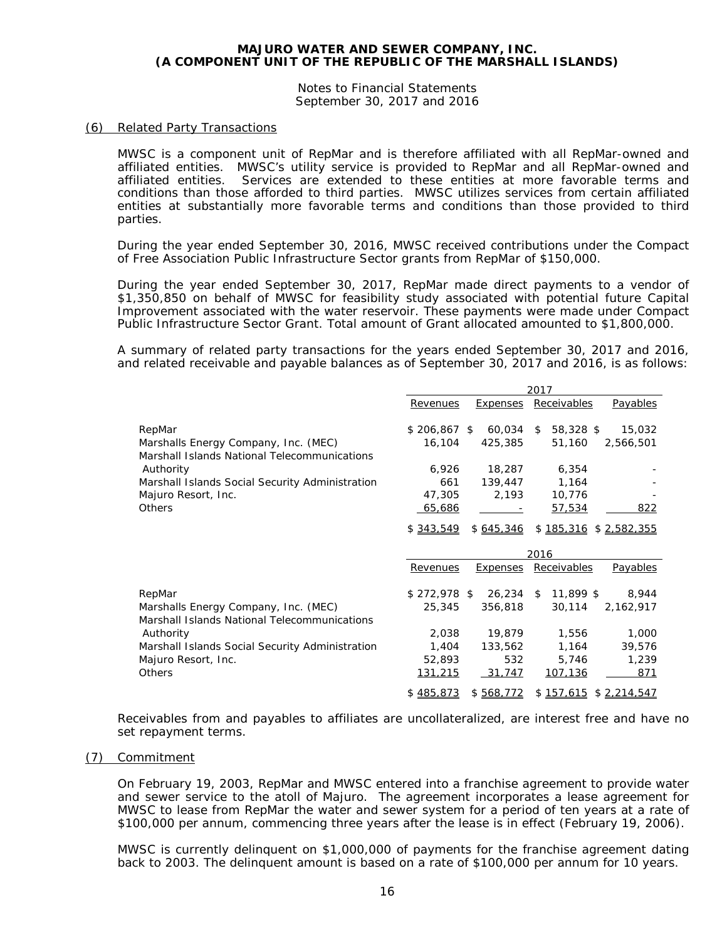Notes to Financial Statements September 30, 2017 and 2016

#### (6) Related Party Transactions

MWSC is a component unit of RepMar and is therefore affiliated with all RepMar-owned and affiliated entities. MWSC's utility service is provided to RepMar and all RepMar-owned and affiliated entities. Services are extended to these entities at more favorable terms and conditions than those afforded to third parties. MWSC utilizes services from certain affiliated entities at substantially more favorable terms and conditions than those provided to third parties.

During the year ended September 30, 2016, MWSC received contributions under the Compact of Free Association Public Infrastructure Sector grants from RepMar of \$150,000.

During the year ended September 30, 2017, RepMar made direct payments to a vendor of \$1,350,850 on behalf of MWSC for feasibility study associated with potential future Capital Improvement associated with the water reservoir. These payments were made under Compact Public Infrastructure Sector Grant. Total amount of Grant allocated amounted to \$1,800,000.

A summary of related party transactions for the years ended September 30, 2017 and 2016, and related receivable and payable balances as of September 30, 2017 and 2016, is as follows:

|                                                                                      |                 |                 | 2017                           |
|--------------------------------------------------------------------------------------|-----------------|-----------------|--------------------------------|
|                                                                                      | <b>Revenues</b> | <b>Expenses</b> | Receivables<br><b>Payables</b> |
| RepMar                                                                               | $$206,867$ \$   | 60,034          | 58,328 \$<br>\$<br>15,032      |
| Marshalls Energy Company, Inc. (MEC)<br>Marshall Islands National Telecommunications | 16,104          | 425,385         | 51,160<br>2,566,501            |
| Authority                                                                            | 6,926           | 18,287          | 6,354                          |
| Marshall Islands Social Security Administration                                      | 661             | 139,447         | 1,164                          |
| Majuro Resort, Inc.                                                                  | 47,305          | 2,193           | 10,776                         |
| Others                                                                               | 65,686          |                 | 57,534<br>822                  |
|                                                                                      | \$343,549       | \$645,346       | $$185,316$ $$2,582,355$        |
|                                                                                      |                 |                 |                                |
|                                                                                      |                 |                 | 2016                           |
|                                                                                      | Revenues        | <b>Expenses</b> | Receivables<br><b>Payables</b> |
|                                                                                      | $$272,978$ \$   | 26,234          | 11,899 \$<br>\$<br>8,944       |
| RepMar<br>Marshalls Energy Company, Inc. (MEC)                                       | 25,345          | 356,818         | 30,114<br>2,162,917            |
| Marshall Islands National Telecommunications                                         | 2,038           | 19,879          | 1,556<br>1,000                 |
| Authority                                                                            | 1,404           | 133,562         | 1,164<br>39,576                |
| Marshall Islands Social Security Administration<br>Majuro Resort, Inc.               | 52,893          | 532             | 1,239<br>5,746                 |
| <b>Others</b>                                                                        | 131,215         | 31,747          | 871<br>107,136                 |

Receivables from and payables to affiliates are uncollateralized, are interest free and have no set repayment terms.

#### (7) Commitment

On February 19, 2003, RepMar and MWSC entered into a franchise agreement to provide water and sewer service to the atoll of Majuro. The agreement incorporates a lease agreement for MWSC to lease from RepMar the water and sewer system for a period of ten years at a rate of \$100,000 per annum, commencing three years after the lease is in effect (February 19, 2006).

MWSC is currently delinquent on \$1,000,000 of payments for the franchise agreement dating back to 2003. The delinquent amount is based on a rate of \$100,000 per annum for 10 years.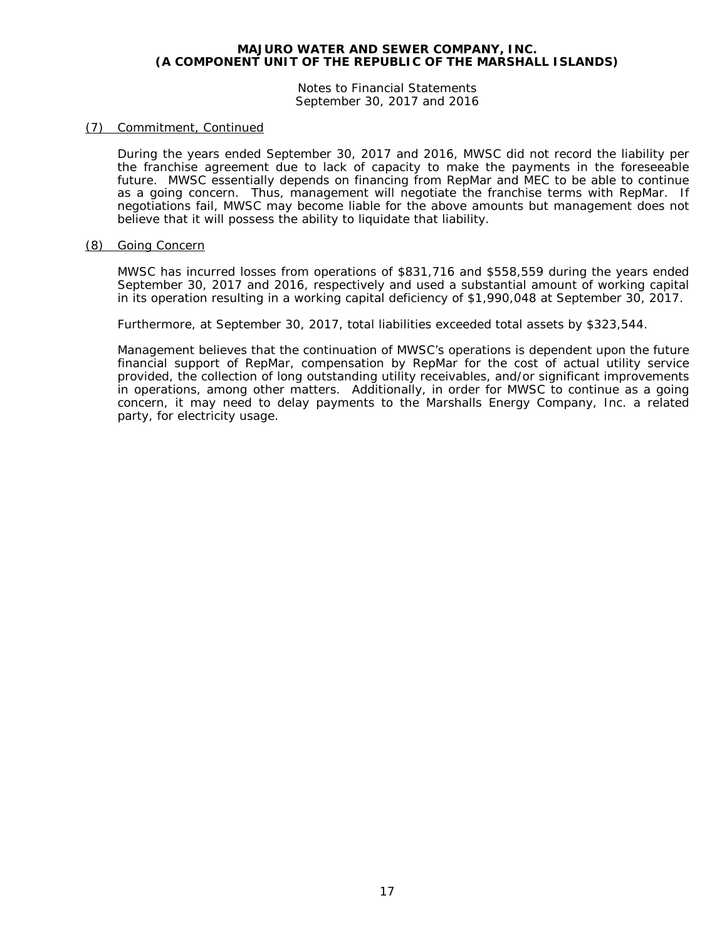Notes to Financial Statements September 30, 2017 and 2016

#### (7) Commitment, Continued

During the years ended September 30, 2017 and 2016, MWSC did not record the liability per the franchise agreement due to lack of capacity to make the payments in the foreseeable future. MWSC essentially depends on financing from RepMar and MEC to be able to continue as a going concern. Thus, management will negotiate the franchise terms with RepMar. If negotiations fail, MWSC may become liable for the above amounts but management does not believe that it will possess the ability to liquidate that liability.

#### (8) Going Concern

MWSC has incurred losses from operations of \$831,716 and \$558,559 during the years ended September 30, 2017 and 2016, respectively and used a substantial amount of working capital in its operation resulting in a working capital deficiency of \$1,990,048 at September 30, 2017.

Furthermore, at September 30, 2017, total liabilities exceeded total assets by \$323,544.

Management believes that the continuation of MWSC's operations is dependent upon the future financial support of RepMar, compensation by RepMar for the cost of actual utility service provided, the collection of long outstanding utility receivables, and/or significant improvements in operations, among other matters. Additionally, in order for MWSC to continue as a going concern, it may need to delay payments to the Marshalls Energy Company, Inc. a related party, for electricity usage.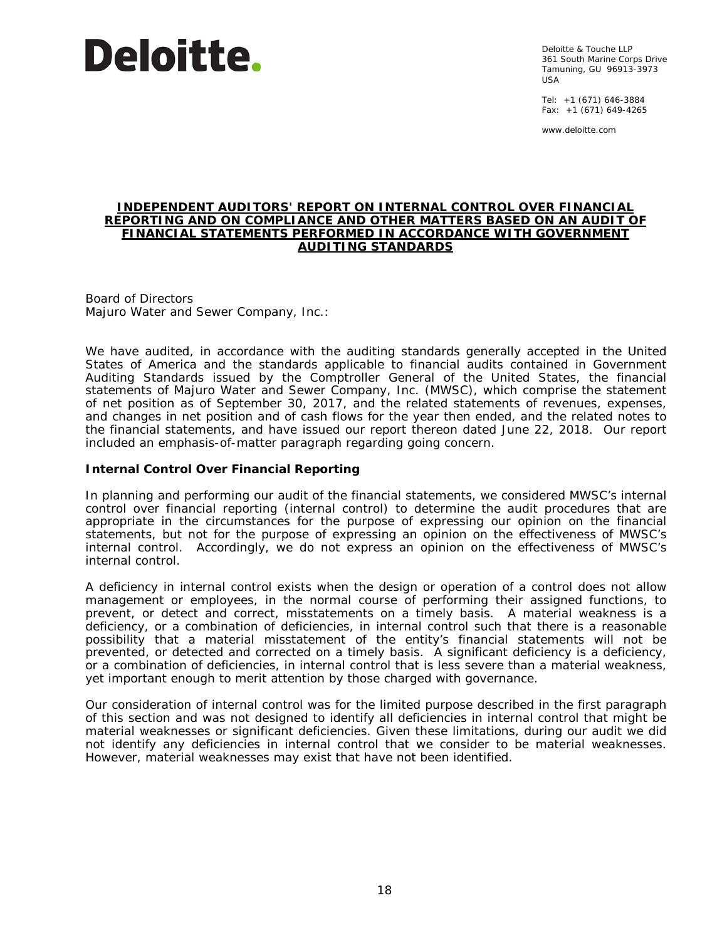

Deloitte & Touche LLP 361 South Marine Corps Drive Tamuning, GU 96913-3973 USA

Tel: +1 (671) 646-3884 Fax:  $+1$  (671) 649-4265

www.deloitte.com

#### **INDEPENDENT AUDITORS' REPORT ON INTERNAL CONTROL OVER FINANCIAL REPORTING AND ON COMPLIANCE AND OTHER MATTERS BASED ON AN AUDIT OF FINANCIAL STATEMENTS PERFORMED IN ACCORDANCE WITH** *GOVERNMENT AUDITING STANDARDS*

Board of Directors Majuro Water and Sewer Company, Inc.:

We have audited, in accordance with the auditing standards generally accepted in the United States of America and the standards applicable to financial audits contained in *Government Auditing Standards* issued by the Comptroller General of the United States, the financial statements of Majuro Water and Sewer Company, Inc. (MWSC), which comprise the statement of net position as of September 30, 2017, and the related statements of revenues, expenses, and changes in net position and of cash flows for the year then ended, and the related notes to the financial statements, and have issued our report thereon dated June 22, 2018. Our report included an emphasis-of-matter paragraph regarding going concern.

#### **Internal Control Over Financial Reporting**

In planning and performing our audit of the financial statements, we considered MWSC's internal control over financial reporting (internal control) to determine the audit procedures that are appropriate in the circumstances for the purpose of expressing our opinion on the financial statements, but not for the purpose of expressing an opinion on the effectiveness of MWSC's internal control. Accordingly, we do not express an opinion on the effectiveness of MWSC's internal control.

A *deficiency in internal control* exists when the design or operation of a control does not allow management or employees, in the normal course of performing their assigned functions, to prevent, or detect and correct, misstatements on a timely basis. A *material weakness* is a deficiency, or a combination of deficiencies, in internal control such that there is a reasonable possibility that a material misstatement of the entity's financial statements will not be prevented, or detected and corrected on a timely basis. A *significant deficiency* is a deficiency, or a combination of deficiencies, in internal control that is less severe than a material weakness, yet important enough to merit attention by those charged with governance.

Our consideration of internal control was for the limited purpose described in the first paragraph of this section and was not designed to identify all deficiencies in internal control that might be material weaknesses or significant deficiencies. Given these limitations, during our audit we did not identify any deficiencies in internal control that we consider to be material weaknesses. However, material weaknesses may exist that have not been identified.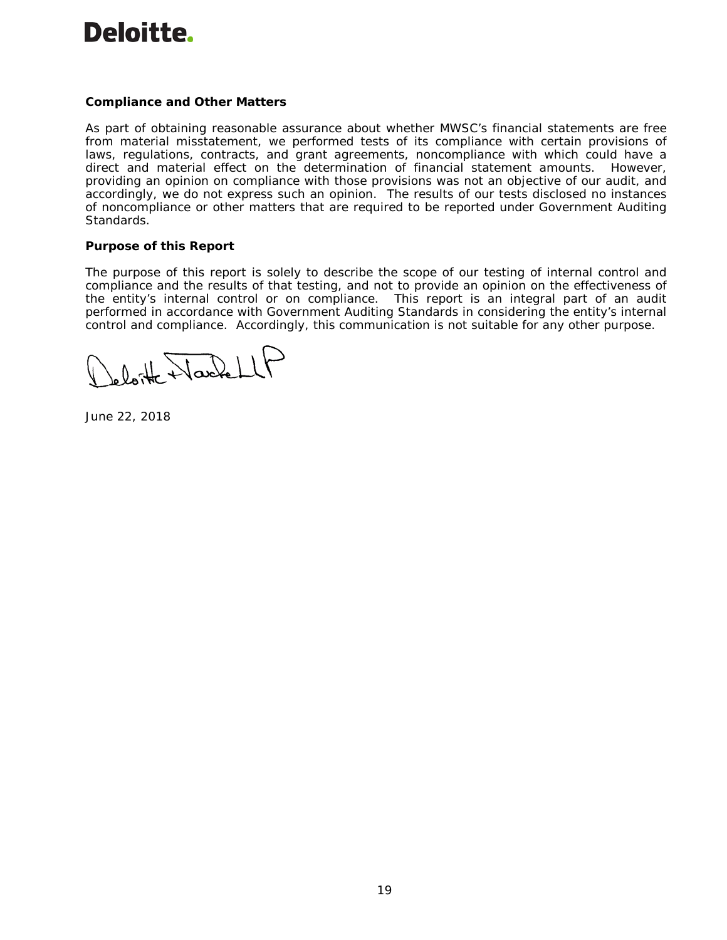# Deloitte.

# **Compliance and Other Matters**

As part of obtaining reasonable assurance about whether MWSC's financial statements are free from material misstatement, we performed tests of its compliance with certain provisions of laws, regulations, contracts, and grant agreements, noncompliance with which could have a direct and material effect on the determination of financial statement amounts. However, providing an opinion on compliance with those provisions was not an objective of our audit, and accordingly, we do not express such an opinion. The results of our tests disclosed no instances of noncompliance or other matters that are required to be reported under *Government Auditing Standards*.

#### **Purpose of this Report**

The purpose of this report is solely to describe the scope of our testing of internal control and compliance and the results of that testing, and not to provide an opinion on the effectiveness of the entity's internal control or on compliance. This report is an integral part of an audit performed in accordance with *Government Auditing Standards* in considering the entity's internal control and compliance. Accordingly, this communication is not suitable for any other purpose.

eloite Nachell

June 22, 2018